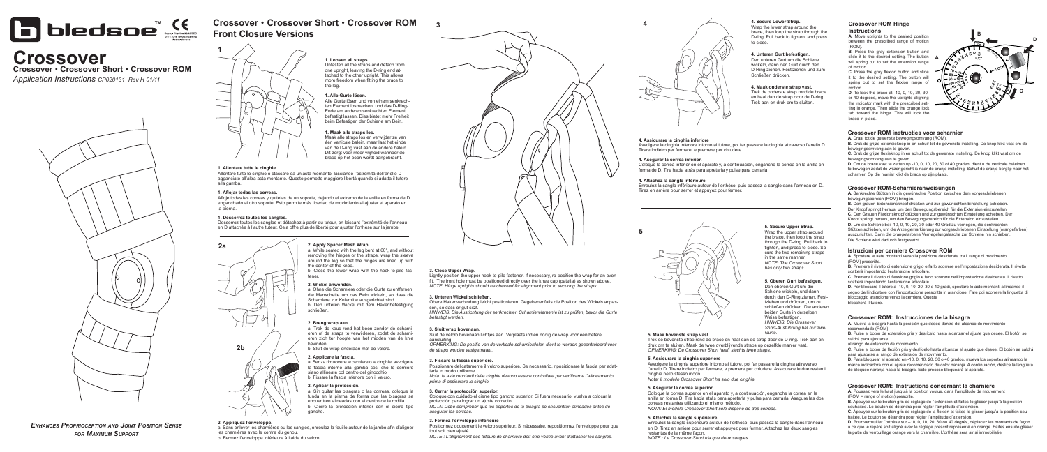*Enhances Proprioception and Joint Position Sense for Maximum Support*





Unfasten all the straps and detach from one upright, leaving the D-ring end attached to the other upright. This allows more freedom when fitting the brace to the leg.

#### **3. Close Upper Wrap.**

Lightly position the upper hook-to-pile fastener. If necessary, re-position the wrap for an even fit. The front hole must be positioned directly over the knee cap (patella) as shown above. *NOTE: Hinge uprights should be checked for alignment prior to securing the straps.*

## **4. Secure Lower Strap.**

Wrap the lower strap around the brace, then loop the strap through the D-ring. Pull back to tighten, and press to close.

**3**

## **4. Maak onderste strap vast.**

Trek de onderste strap rond de brace en haal dan de strap door de D-ring. Trek aan en druk om te sluiten.

**5. Maak bovenste strap vast.** 

Trek de bovenste strap rond de brace en haal dan de strap door de D-ring. Trek aan en druk om te sluiten. Maak de twee overblijvende straps op dezelfde manier vast. *OPMERKING: De Crossover Short heeft slechts twee straps.*

## **4. Assicurare la cinghia inferiore**

Avvolgere la cinghia inferiore intorno al tutore, poi far passare la cinghia attraverso l'anello D. Tirare indietro per fermare, e premere per chiudere.

## **4. Asegurar la correa inferior.**

Coloque la correa inferior en el aparato y, a continuación, enganche la correa en la anilla en forma de D. Tire hacia atrás para apretarla y pulse para cerrarla.

## **4. Attachez la sangle inférieure.**

Enroulez la sangle inférieure autour de l'orthèse, puis passez la sangle dans l'anneau en D. Tirez en arrière pour serrer et appuyez pour fermer.



## **5. Secure Upper Strap.** Wrap the upper strap around the brace, then loop the strap through the D-ring. Pull back to tighten, and press to close. Se-

cure the two remaining straps in the same manner. *NOTE: The Crossover Short has only two straps.*

## **5. Assicurare la cinghia superiore**

Avvolgere la cinghia superiore intorno al tutore, poi far passare la cinghia attraverso l'anello D. Tirare indietro per fermare, e premere per chiudere. Assicurare le due restanti cinghie nello stesso modo.

*Nota: Il modello Crossover Short ha solo due cinghie.*

## **5. Asegurar la correa superior.**

Coloque la correa superior en el aparato y, a continuación, enganche la correa en la anilla en forma D. Tire hacia atrás para apretarla y pulse para cerrarla. Asegure las dos correas restantes utilizando el mismo método. *NOTA: El modelo Crossover Short sólo dispone de dos correas.*

## **5. Attachez la sangle supérieure.**

Enroulez la sangle supérieure autour de l'orthèse, puis passez la sangle dans l'anneau en D. Tirez en arrière pour serrer et appuyez pour fermer. Attachez les deux sangles restantes de la même façon. *NOTE : Le Crossover Short n'a que deux sangles.*

## **4. Unteren Gurt befestigen.**

Den unteren Gurt um die Schiene wickeln, dann den Gurt durch den D-Ring ziehen. Festtziehen und zum Schließen drücken.

## **5. Oberen Gurt befestigen.**

a. Ohne die Scharniere oder die Gurte zu entfernen die Manschette um das Bein wickeln, so dass die Scharniere zur Kniemitte ausgerichtet sind. b. Den unteren Wickel mit dem Hakenbefestigung schließen.

Den oberen Gurt um die Schiene wickeln, und dann durch den D-Ring ziehen. Festtziehen und drücken, um zu schließen drücken. Die anderen beiden Gurte in derselben Weise befestigen *HINWEIS: Die Crossover Short-Ausführung hat nur zwei Gurte.*

les charnières avec le centre du genou. b. Fermez l'enveloppe inférieure à l'aide du velcro.



# **Crossover Crossover** • **Crossover Short** • **Crossover ROM**

*Application Instructions CP020131 Rev H 01/11*







## **3. Fermez l'enveloppe inférieure**

Positionnez doucement le velcro supérieur. Si nécessaire, repositionnez l'enveloppe pour que

tout soit bien ajusté.

*NOTE : L'alignement des tuteurs de charnière doit être vérifié avant d'attacher les sangles.*

## **3. Cerrar la protección superior.**

Coloque con cuidado el cierre tipo gancho superior. Si fuera necesario, vuelva a colocar la protección para lograr un ajuste correcto. *NOTA: Debe comprobar que los soportes de la bisagra se encuentran alineados antes de asegurar las correas.*

slide it to the desired setting. The button **A B.** Press the gray extension button and will spring out to set the extension range of motion.

## **3. Fissare la fascia superiore.**

Posizionare delicatamente il velcro superiore. Se necessario, riposizionare la fascia per adat-

tarla in modo uniforme. *Nota: le aste montanti delle cinghie devono essere controllate per verificarne l'allineamento prima di assicurare le cinghie.*

#### **3. Sluit wrap bovenaan.**

Sluit de velcro bovenaan lichtjes aan. Verplaats indien nodig de wrap voor een betere aansluiting. *OPMERKING: De positie van de verticale scharnierdelen dient te worden gecontroleerd voor de straps worden vastgemaakt.*

## **3. Unteren Wickel schließen.**

Obere Hakenverbindung leicht positionieren. Gegebenenfalls die Position des Wickels anpassen, so dass er gut sitzt. *HINWEIS: Die Ausrichtung der senkrechten Scharnierelemente ist zu prüfen, bevor die Gurte befestigt werden.*

# **Crossover** • **Crossover Short** • **Crossover ROM Front Closure Versions**

## **1. Allentare tutte le cinghie.**

Allentare tutte le cinghie e staccare da un'asta montante, lasciando l'estremità dell'anello D agganciato all'altra asta montante. Questo permette maggiore libertà quando si adatta il tutore alla gamba.

## **1. Aflojar todas las correas.**



Afloje todas las correas y quítelas de un soporte, dejando el extremo de la anilla en forma de D enganchado al otro soporte. Esto permite más libertad de movimiento al ajustar el aparato en la pierna.

#### **1. Desserrez toutes les sangles.**

Desserrez toutes les sangles et détachez à partir du tuteur, en laissant l'extrémité de l'anneau en D attachée à l'autre tuteur. Cela offre plus de liberté pour ajuster l'orthèse sur la jambe.

#### **1. Maak alle straps los.**

Maak alle straps los en verwijder ze van één verticale balein, maar laat het einde van de D-ring vast aan de andere balein. Dit zorgt voor meer vrijheid wanneer de brace op het been wordt aangebracht.



#### **1. Alle Gurte lösen.**

Alle Gurte lösen und von einem senkrechten Element losmachen, und das D-Ring-Ende am anderen senkrechten Element befestigt lassen. Dies bietet mehr Freiheit beim Befestigen der Schiene am Bein.

## **2. Wickel anwenden.**

## a. Sans enlever les charnières ou les sangles, enroulez la feuille autour de la jambe afin d'aligner

#### **2. Aplicar la protección.**

a. Sin quitar las bisagras o las correas, coloque la funda en la pierna de forma que las bisagras se encuentren alineadas con el centro de la rodilla. b. Cierre la protección inferior con el cierre tipo gancho.

## **2. Applicare la fascia.**

a. Senza rimuovere le cerniere o le cinghie, avvolgere la fascia intorno alla gamba così che le cerniere siano allineate col centro del ginocchio. b. Fissare la fascia inferiore con il velcro.

## **2. Apply Spacer Mesh Wrap.**

a. While seated with the leg bent at 60°, and without removing the hinges or the straps, wrap the sleeve around the leg so that the hinges are lined up with the center of the knee.

b. Close the lower wrap with the hook-to-pile fastener.

#### **2. Breng wrap aan.**

a. Trek de kous rond het been zonder de scharnieren of de straps te verwijderen, zodat de scharnieren zich ter hoogte van het midden van de knie bevinden.

b. Sluit de wrap onderaan met de velcro.







## **Crossover ROM Hinge Instructions**

**A.** Move uprights to the desired position between the prescribed range of motion (ROM).

**C.** Press the gray flexion button and slide it to the desired setting. The button will spring out to set the flexion range of motion.

**D.** To lock the brace at -10, 0, 10, 20, 30, or 40 degrees, move the uprights aligning the indicator mark with the prescribed setting in orange. Then slide the orange lock tab toward the hinge. This will lock the brace in place.

## **Crossover ROM instructies voor scharnier**

**A.** Draai tot de gewenste bewegingsomvang (ROM). **B.** Druk de grijze extensieknop in en schuif tot de gewenste instelling. De knop klikt vast om de bewegingsomvang aan te geven.

**C.** Druk de grijze flexieknop in en schuif tot de gewenste instelling. De knop klikt vast om de bewegingsomvang aan te geven.

**D.** Om de brace vast te zetten op -10, 0, 10, 20, 30 of 40 graden, dient u de verticale baleinen te bewegen zodat de wijzer gericht is naar de oranje instelling. Schuif de oranje borglip naar het scharnier. Op die manier klikt de brace op zijn plaats.

## **Crossover ROM-Scharnieranweisungen**

**A.** Senkrechte Stützen in die gewünschte Position zwischen dem vorgeschriebenen bewegungsbereich (ROM) bringen.

**B.** Den grauen Extensionsknopf drücken und zur gewünschten Einstellung schieben. Der Knopf springt heraus, um den Bewegungsbereich für die Extension einzustellen. **C.** Den Grauen Flexionsknopf drücken und zur gewünschten Einstellung schieben. Der Knopf springt heraus, um den Bewegungsbereich für die Extension einzustellen. **D.** Um die Schiene bei -10, 0, 10, 20, 30 oder 40 Grad zu verriegen, die senkrechten Stützen schieben, um die Anzeigemarkierung zur vorgeschriebenen Einstellung (orangefarben) auszurichten. Dann die orangefarbene Verriegelungslasche zur Schiene hin schieben. Die Schiene wird dadurch festgesetzt.

## **Istruzioni per cerniera Crossover ROM**

**A.** Spostare le aste montanti verso la posizione desiderata tra il range di movimento (ROM) prescritto.

**B.** Premere il rivetto di estensione grigio e farlo scorrere nell'impostazione desiderata. Il rivetto scatterà impostando l'estensione articolare.

**C.** Premere il rivetto di flessione grigio e farlo scorrere nell'impostazione desiderata. Il rivetto scatterà impostando l'estensione articolare.

**D.** Per bloccare il tutore a -10, 0, 10, 20, 30 o 40 gradi, spostare le aste montanti allineando il segno dell'indicatore con l'impostazione prescritta in arancione. Fare poi scorrere la linguetta di bloccaggio arancione verso la cerniera. Questa bloccherà il tutore.

## **Crossover ROM: Instrucciones de la bisagra**

**A.** Mueva la bisagra hasta la posición que desee dentro del alcance de movimiento recomendado (ROM).

**B.** Pulse el botón de extensión gris y deslícelo hasta alcanzar el ajuste que desee. El botón se saldrá para ajustarse

al rango de extensión de movimiento.

**C.** Pulse el botón de flexión gris y deslícelo hasta alcanzar el ajuste que desee. El botón se saldrá para ajustarse al rango de extensión de movimiento.

**D.** Para bloquear el aparato en -10, 0, 10, 20, 30 o 40 grados, mueva los soportes alineando la marca indicadora con el ajuste recomendado de color naranja. A continuación, deslice la lengüeta de bloqueo naranja hacia la bisagra. Este proceso bloqueará al aparato.

## **Crossover ROM: Instructions concernant la charnière**

**A.** Poussez vers le haut jusqu'à la position voulue, dans l'amplitude de mouvement (ROM = range of motion) prescrite.

**B.** Appuyez sur le bouton gris de réglage de l'extension et faites-le glisser jusqu'à la position souhaitée. Le bouton se détendra pour régler l'amplitude d'extension.

**C.** Appuyez sur le bouton gris de réglage de la flexion et faites-le glisser jusqu'à la position souhaitée. Le bouton se détendra pour régler l'amplitude d'extension.

**D.** Pour verrouiller l'orthèse sur –10, 0, 10, 20, 30 ou 40 degrés, déplacez les montants de façon à ce que le repère soit aligné avec le réglage prescrit représenté en orange. Faites ensuite glisser la patte de verrouillage orange vers la charnière. L'orthèse sera ainsi immobilisée.